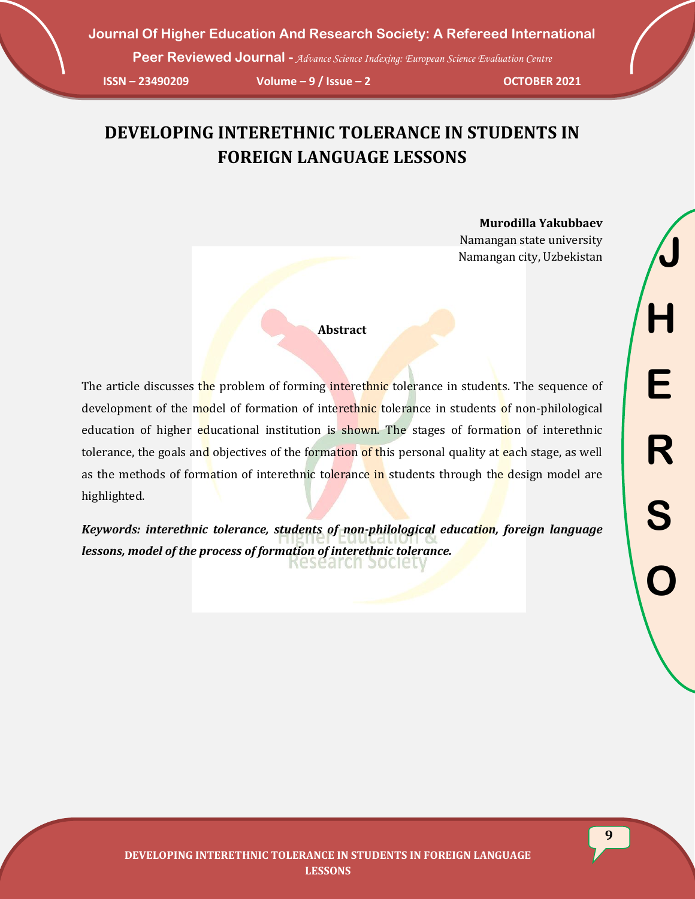**Peer Reviewed Journal -** *Advance Science Indexing: European Science Evaluation Centre*

**ISSN – 23490209 Volume – 9 / Issue – 2 OCTOBER 2021**

# **DEVELOPING INTERETHNIC TOLERANCE IN STUDENTS IN FOREIGN LANGUAGE LESSONS**

**Murodilla Yakubbaev** Namangan state university Namangan city, Uzbekistan

**Abstract**

The article discusses the problem of forming interethnic tolerance in students. The sequence of development of the model of formation of interethnic tolerance in students of non-philological education of higher educational institution is shown. The stages of formation of interethnic tolerance, the goals and objectives of the formation of this personal quality at each stage, as well as the methods of formation of interethnic tolerance in students through the design model are highlighted.

*Keywords: interethnic tolerance, students of non-philological education, foreign language lessons, model of the process of formation of interethnic tolerance.*Research pocle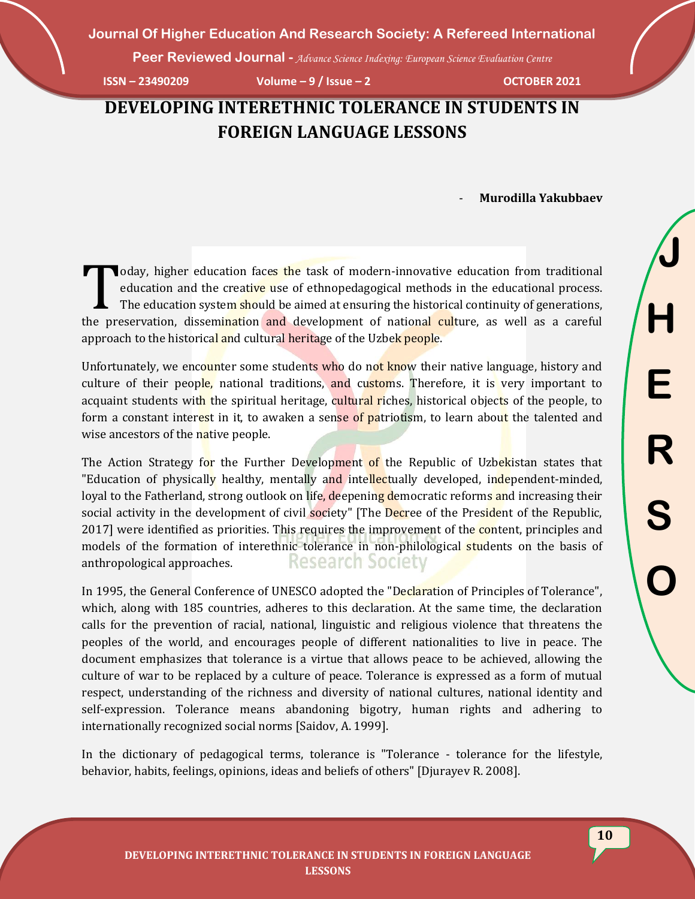**Peer Reviewed Journal -** *Advance Science Indexing: European Science Evaluation Centre*

**ISSN – 23490209 Volume – 9 / Issue – 2 OCTOBER 2021**

## **DEVELOPING INTERETHNIC TOLERANCE IN STUDENTS IN FOREIGN LANGUAGE LESSONS**

- **Murodilla Yakubbaev**

oday, higher education faces the task of modern-innovative education from traditional<br>
education and the creative use of ethnopedagogical methods in the educational process.<br>
The education system should be aimed at ensurin education and the creative use of ethnopedagogical methods in the educational process. The education system should be aimed at ensuring the historical continuity of generations, the preservation, dissemination and development of national culture, as well as a careful approach to the historical and cultural heritage of the Uzbek people.

Unfortunately, we encounter some students who do not know their native language, history and culture of their people, national traditions, and customs. Therefore, it is very important to acquaint students with the spiritual heritage, cultural riches, historical objects of the people, to form a constant interest in it, to awaken a sense of patriotism, to learn about the talented and wise ancestors of the native people.

The Action Strategy for the Further Development of the Republic of Uzbekistan states that "Education of physically healthy, mentally and intellectually developed, independent-minded, loyal to the Fatherland, strong outlook on life, deepening democratic reforms and increasing their social activity in the development of civil society" [The Decree of the President of the Republic, 2017] were identified as priorities. This requires the improvement of the content, principles and models of the formation of interethnic tolerance in non-philological students on the basis of **Research Society** anthropological approaches.

In 1995, the General Conference of UNESCO adopted the "Declaration of Principles of Tolerance", which, along with 185 countries, adheres to this declaration. At the same time, the declaration calls for the prevention of racial, national, linguistic and religious violence that threatens the peoples of the world, and encourages people of different nationalities to live in peace. The document emphasizes that tolerance is a virtue that allows peace to be achieved, allowing the culture of war to be replaced by a culture of peace. Tolerance is expressed as a form of mutual respect, understanding of the richness and diversity of national cultures, national identity and self-expression. Tolerance means abandoning bigotry, human rights and adhering to internationally recognized social norms [Saidov, A. 1999].

In the dictionary of pedagogical terms, tolerance is "Tolerance - tolerance for the lifestyle, behavior, habits, feelings, opinions, ideas and beliefs of others" [Djurayev R. 2008].

**J**

**H**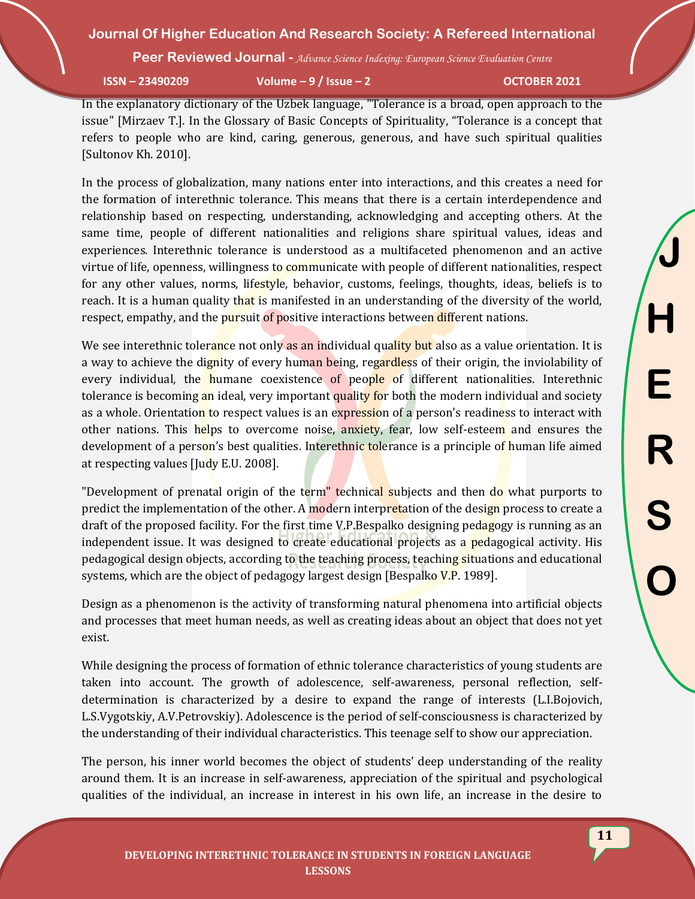**Peer Reviewed Journal -** *Advance Science Indexing: European Science Evaluation Centre*

**ISSN – 23490209 Volume – 9 / Issue – 2 OCTOBER 2021**

In the explanatory dictionary of the Uzbek language, "Tolerance is a broad, open approach to the issue" [Mirzaev T.]. In the Glossary of Basic Concepts of Spirituality, "Tolerance is a concept that refers to people who are kind, caring, generous, generous, and have such spiritual qualities [Sultonov Kh. 2010].

In the process of globalization, many nations enter into interactions, and this creates a need for the formation of interethnic tolerance. This means that there is a certain interdependence and relationship based on respecting, understanding, acknowledging and accepting others. At the same time, people of different nationalities and religions share spiritual values, ideas and experiences. Interethnic tolerance is understood as a multifaceted phenomenon and an active virtue of life, openness, willingness to communicate with people of different nationalities, respect for any other values, norms, lifestyle, behavior, customs, feelings, thoughts, ideas, beliefs is to reach. It is a human quality that is manifested in an understanding of the diversity of the world, respect, empathy, and the pursuit of positive interactions between different nations.

We see interethnic tolerance not only as an individual quality but also as a value orientation. It is a way to achieve the dignity of every human being, regardless of their origin, the inviolability of every individual, the humane coexistence of people of different nationalities. Interethnic tolerance is becoming an ideal, very important quality for both the modern individual and society as a whole. Orientation to respect values is an expression of a person's readiness to interact with other nations. This helps to overcome noise, anxiety, fear, low self-esteem and ensures the development of a person's best qualities. Interethnic tolerance is a principle of human life aimed at respecting values [Judy E.U. 2008].

"Development of prenatal origin of the term" technical subjects and then do what purports to predict the implementation of the other. A modern interpretation of the design process to create a draft of the proposed facility. For the first time V.P.Bespalko designing pedagogy is running as an independent issue. It was designed to create educational projects as a pedagogical activity. His pedagogical design objects, according to the teaching process, teaching situations and educational systems, which are the object of pedagogy largest design [Bespalko V.P. 1989].

Design as a phenomenon is the activity of transforming natural phenomena into artificial objects and processes that meet human needs, as well as creating ideas about an object that does not yet exist.

While designing the process of formation of ethnic tolerance characteristics of young students are taken into account. The growth of adolescence, self-awareness, personal reflection, selfdetermination is characterized by a desire to expand the range of interests (L.I.Bojovich, L.S.Vygotskiy, A.V.Petrovskiy). Adolescence is the period of self-consciousness is characterized by the understanding of their individual characteristics. This teenage self to show our appreciation.

The person, his inner world becomes the object of students' deep understanding of the reality around them. It is an increase in self-awareness, appreciation of the spiritual and psychological qualities of the individual, an increase in interest in his own life, an increase in the desire to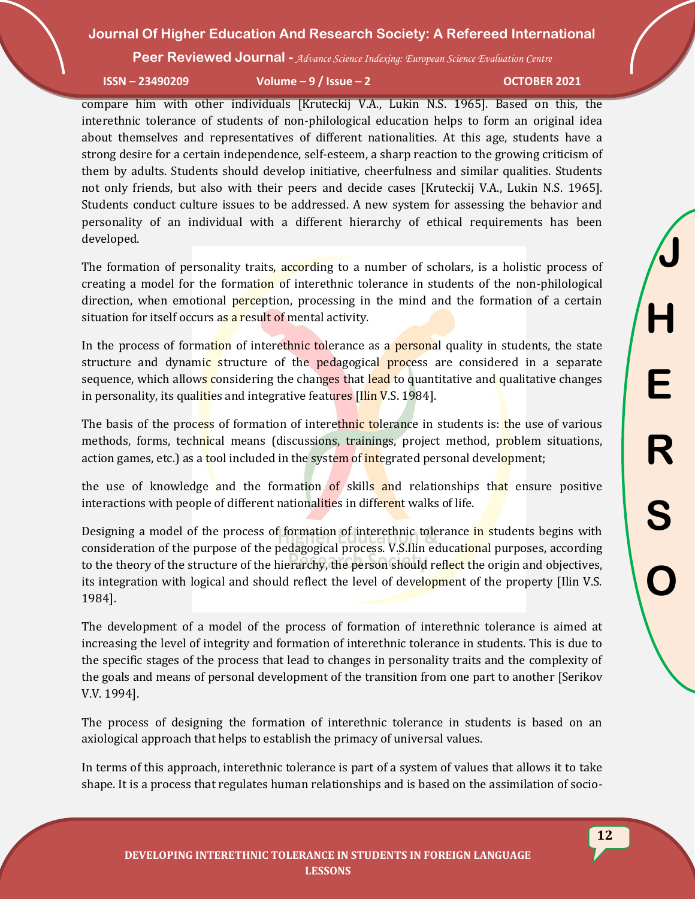**Peer Reviewed Journal -** *Advance Science Indexing: European Science Evaluation Centre*

**ISSN – 23490209 Volume – 9 / Issue – 2 OCTOBER 2021**

compare him with other individuals [Kruteckij V.A., Lukin N.S. 1965]. Based on this, the interethnic tolerance of students of non-philological education helps to form an original idea about themselves and representatives of different nationalities. At this age, students have a strong desire for a certain independence, self-esteem, a sharp reaction to the growing criticism of them by adults. Students should develop initiative, cheerfulness and similar qualities. Students not only friends, but also with their peers and decide cases [Kruteckij V.A., Lukin N.S. 1965]. Students conduct culture issues to be addressed. A new system for assessing the behavior and personality of an individual with a different hierarchy of ethical requirements has been developed.

The formation of personality traits, according to a number of scholars, is a holistic process of creating a model for the formation of interethnic tolerance in students of the non-philological direction, when emotional perception, processing in the mind and the formation of a certain situation for itself occurs as a result of mental activity.

In the process of formation of interethnic tolerance as a **personal** quality in students, the state structure and dynamic structure of the pedagogical process are considered in a separate sequence, which allows considering the changes that lead to quantitative and qualitative changes in personality, its qualities and integrative features [Ilin V.S. 1984].

The basis of the process of formation of interethnic tolerance in students is: the use of various methods, forms, technical means (discussions, trainings, project method, problem situations, action games, etc.) as a tool included in the system of integrated personal development;

the use of knowledge and the formation of skills and relationships that ensure positive interactions with people of different nationalities in different walks of life.

Designing a model of the process of formation of interethnic tolerance in students begins with consideration of the purpose of the pedagogical process. V.S.Ilin educational purposes, according to the theory of the structure of the hierarchy, the person should reflect the origin and objectives, its integration with logical and should reflect the level of development of the property [Ilin V.S. 1984].

The development of a model of the process of formation of interethnic tolerance is aimed at increasing the level of integrity and formation of interethnic tolerance in students. This is due to the specific stages of the process that lead to changes in personality traits and the complexity of the goals and means of personal development of the transition from one part to another [Serikov V.V. 1994].

The process of designing the formation of interethnic tolerance in students is based on an axiological approach that helps to establish the primacy of universal values.

In terms of this approach, interethnic tolerance is part of a system of values that allows it to take shape. It is a process that regulates human relationships and is based on the assimilation of socio-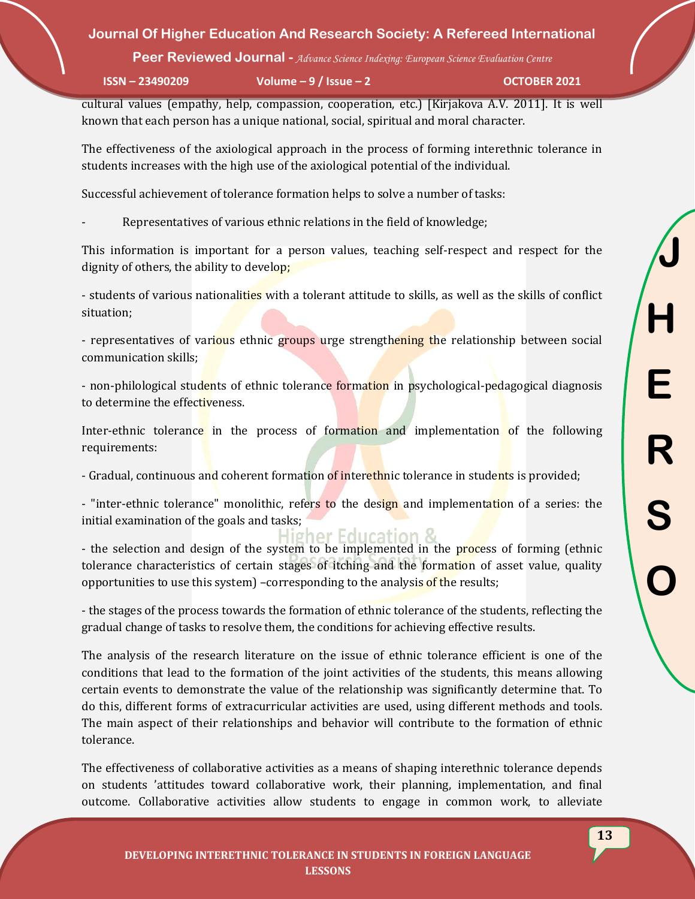**Peer Reviewed Journal -** *Advance Science Indexing: European Science Evaluation Centre*

**ISSN – 23490209 Volume – 9 / Issue – 2 OCTOBER 2021**

cultural values (empathy, help, compassion, cooperation, etc.) [Kirjakova A.V. 2011]. It is well known that each person has a unique national, social, spiritual and moral character.

The effectiveness of the axiological approach in the process of forming interethnic tolerance in students increases with the high use of the axiological potential of the individual.

Successful achievement of tolerance formation helps to solve a number of tasks:

Representatives of various ethnic relations in the field of knowledge;

This information is important for a person values, teaching self-respect and respect for the dignity of others, the ability to develop;

- students of various nationalities with a tolerant attitude to skills, as well as the skills of conflict situation;

- representatives of various ethnic groups urge strengthening the relationship between social communication skills;

- non-philological students of ethnic tolerance formation in psychological-pedagogical diagnosis to determine the effectiveness.

Inter-ethnic tolerance in the process of formation and implementation of the following requirements:

- Gradual, continuous and coherent formation of interethnic tolerance in students is provided;

- "inter-ethnic tolerance" monolithic, refers to the design and implementation of a series: the initial examination of the goals and tasks;

igher Fouca - the selection and design of the system to be implemented in the process of forming (ethnic tolerance characteristics of certain stages of itching and the formation of asset value, quality opportunities to use this system) –corresponding to the analysis of the results;

- the stages of the process towards the formation of ethnic tolerance of the students, reflecting the gradual change of tasks to resolve them, the conditions for achieving effective results.

The analysis of the research literature on the issue of ethnic tolerance efficient is one of the conditions that lead to the formation of the joint activities of the students, this means allowing certain events to demonstrate the value of the relationship was significantly determine that. To do this, different forms of extracurricular activities are used, using different methods and tools. The main aspect of their relationships and behavior will contribute to the formation of ethnic tolerance.

The effectiveness of collaborative activities as a means of shaping interethnic tolerance depends on students 'attitudes toward collaborative work, their planning, implementation, and final outcome. Collaborative activities allow students to engage in common work, to alleviate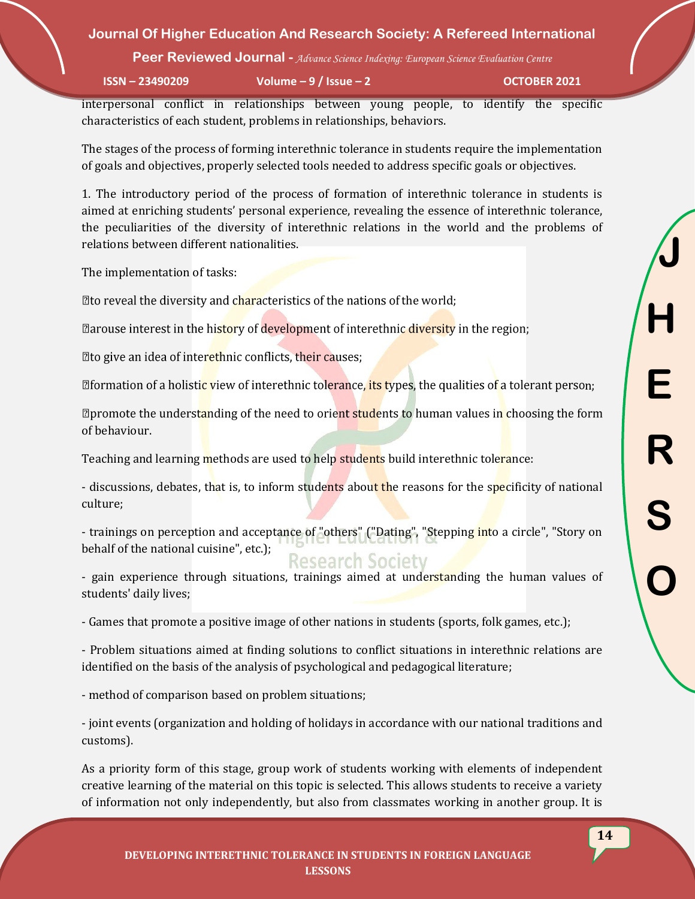**Peer Reviewed Journal -** *Advance Science Indexing: European Science Evaluation Centre*

**ISSN – 23490209 Volume – 9 / Issue – 2 OCTOBER 2021**

interpersonal conflict in relationships between young people, to identify the specific characteristics of each student, problems in relationships, behaviors.

The stages of the process of forming interethnic tolerance in students require the implementation of goals and objectives, properly selected tools needed to address specific goals or objectives.

1. The introductory period of the process of formation of interethnic tolerance in students is aimed at enriching students' personal experience, revealing the essence of interethnic tolerance, the peculiarities of the diversity of interethnic relations in the world and the problems of relations between different nationalities.

The implementation of tasks:

 $\mathbb Z$  to reveal the diversity and characteristics of the nations of the world;

**Example 2** are interest in the history of development of interethnic diversity in the region;

**The give an idea of interethnic conflicts, their causes;** 

*Eformation of a holistic view of interethnic tolerance, its types, the qualities of a tolerant person;* 

*Definement* the understanding of the need to orient students to human values in choosing the form of behaviour.

Teaching and learning methods are used to help students build interethnic tolerance:

- discussions, debates, that is, to inform students about the reasons for the specificity of national culture;

- trainings on perception and acceptance of "others" ("Dating", "Stepping into a circle", "Story on behalf of the national cuisine", etc.);

**Research Society** - gain experience through situations, trainings aimed at understanding the human values of students' daily lives;

- Games that promote a positive image of other nations in students (sports, folk games, etc.);

- Problem situations aimed at finding solutions to conflict situations in interethnic relations are identified on the basis of the analysis of psychological and pedagogical literature;

- method of comparison based on problem situations;

- joint events (organization and holding of holidays in accordance with our national traditions and customs).

As a priority form of this stage, group work of students working with elements of independent creative learning of the material on this topic is selected. This allows students to receive a variety of information not only independently, but also from classmates working in another group. It is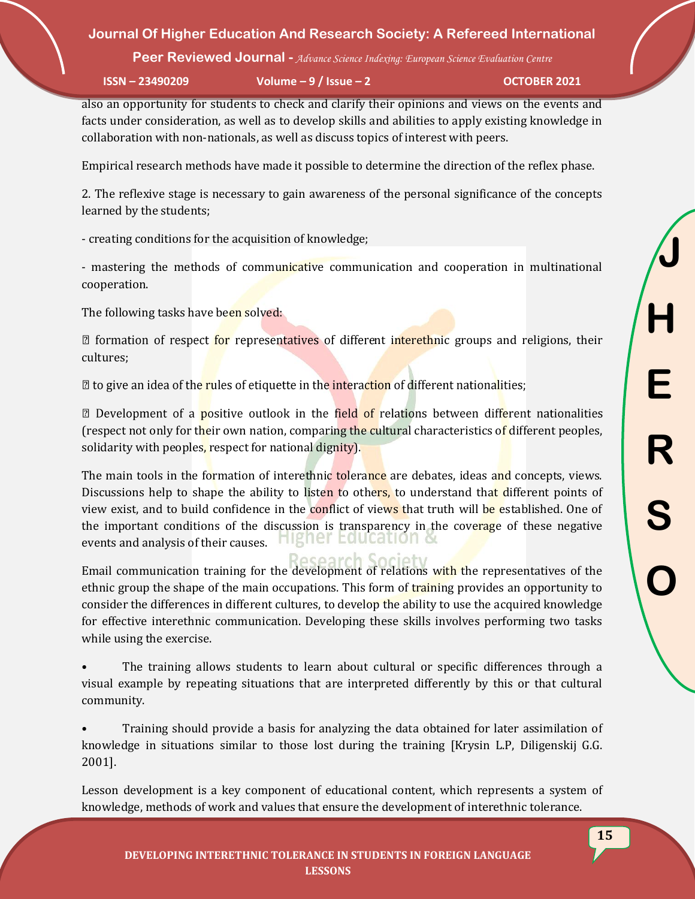**Peer Reviewed Journal -** *Advance Science Indexing: European Science Evaluation Centre*

**ISSN – 23490209 Volume – 9 / Issue – 2 OCTOBER 2021**

also an opportunity for students to check and clarify their opinions and views on the events and facts under consideration, as well as to develop skills and abilities to apply existing knowledge in collaboration with non-nationals, as well as discuss topics of interest with peers.

Empirical research methods have made it possible to determine the direction of the reflex phase.

2. The reflexive stage is necessary to gain awareness of the personal significance of the concepts learned by the students;

- creating conditions for the acquisition of knowledge;

- mastering the methods of communicative communication and cooperation in multinational cooperation.

The following tasks have been solved:

**numeral** formation of respect for representatives of different interethnic groups and religions, their cultures;

 $\mathbb Z$  to give an idea of the rules of etiquette in the interaction of different nationalities;

**Z** Development of a **positive outlook** in the field of relations between different nationalities (respect not only for their own nation, comparing the cultural characteristics of different peoples, solidarity with peoples, respect for national dignity).

The main tools in the formation of interethnic tolerance are debates, ideas and concepts, views. Discussions help to shape the ability to listen to others, to understand that different points of view exist, and to build confidence in the conflict of views that truth will be established. One of the important conditions of the discussion is transparency in the coverage of these negative events and analysis of their causes. right coucation of

Research Email communication training for the development of relations with the representatives of the ethnic group the shape of the main occupations. This form of training provides an opportunity to consider the differences in different cultures, to develop the ability to use the acquired knowledge for effective interethnic communication. Developing these skills involves performing two tasks while using the exercise.

The training allows students to learn about cultural or specific differences through a visual example by repeating situations that are interpreted differently by this or that cultural community.

• Training should provide a basis for analyzing the data obtained for later assimilation of knowledge in situations similar to those lost during the training [Krysin L.P, Diligenskij G.G. 2001].

Lesson development is a key component of educational content, which represents a system of knowledge, methods of work and values that ensure the development of interethnic tolerance.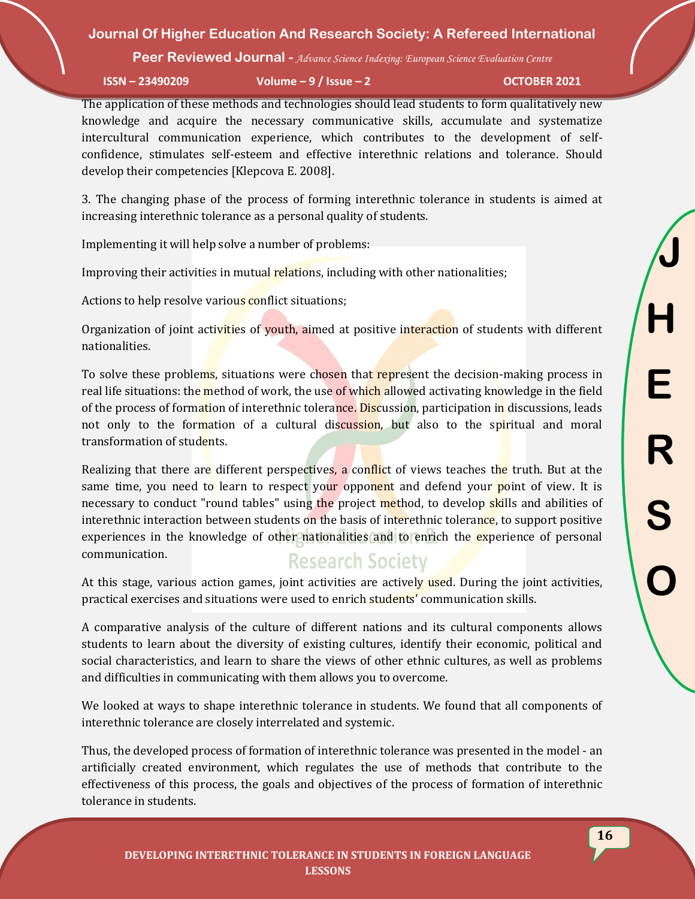**Peer Reviewed Journal -** *Advance Science Indexing: European Science Evaluation Centre*

**ISSN – 23490209 Volume – 9 / Issue – 2 OCTOBER 2021**

The application of these methods and technologies should lead students to form qualitatively new knowledge and acquire the necessary communicative skills, accumulate and systematize intercultural communication experience, which contributes to the development of selfconfidence, stimulates self-esteem and effective interethnic relations and tolerance. Should develop their competencies [Klepcova E. 2008].

3. The changing phase of the process of forming interethnic tolerance in students is aimed at increasing interethnic tolerance as a personal quality of students.

Implementing it will help solve a number of problems:

Improving their activities in mutual relations, including with other nationalities;

Actions to help resolve various conflict situations;

Organization of joint activities of youth, aimed at positive interaction of students with different nationalities.

To solve these problems, situations were chosen that represent the decision-making process in real life situations: the method of work, the use of which allowed activating knowledge in the field of the process of formation of interethnic tolerance. Discussion, participation in discussions, leads not only to the formation of a cultural discussion, but also to the spiritual and moral transformation of students.

Realizing that there are different perspectives, a conflict of views teaches the truth. But at the same time, you need to learn to respect your opponent and defend your point of view. It is necessary to conduct "round tables" using the project method, to develop skills and abilities of interethnic interaction between students on the basis of interethnic tolerance, to support positive experiences in the knowledge of other nationalities and to enrich the experience of personal communication.

## **Research Society**

At this stage, various action games, joint activities are actively used. During the joint activities, practical exercises and situations were used to enrich students' communication skills.

A comparative analysis of the culture of different nations and its cultural components allows students to learn about the diversity of existing cultures, identify their economic, political and social characteristics, and learn to share the views of other ethnic cultures, as well as problems and difficulties in communicating with them allows you to overcome.

We looked at ways to shape interethnic tolerance in students. We found that all components of interethnic tolerance are closely interrelated and systemic.

Thus, the developed process of formation of interethnic tolerance was presented in the model - an artificially created environment, which regulates the use of methods that contribute to the effectiveness of this process, the goals and objectives of the process of formation of interethnic tolerance in students.